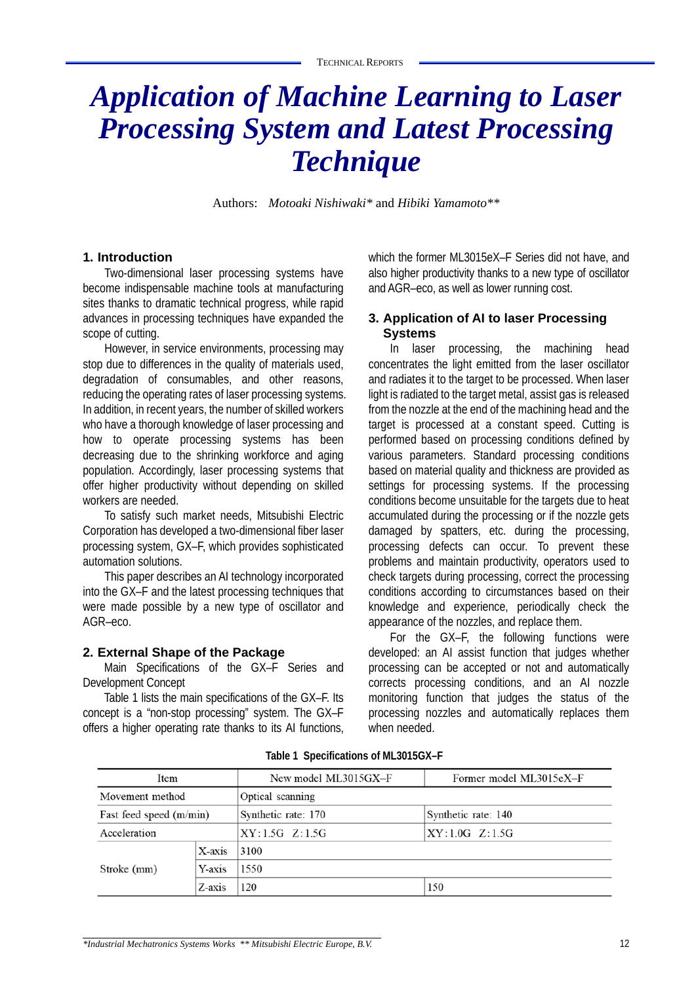# *Application of Machine Learning to Laser Processing System and Latest Processing Technique*

Authors: *Motoaki Nishiwaki\** and *Hibiki Yamamoto\*\**

## **1. Introduction**

Two-dimensional laser processing systems have become indispensable machine tools at manufacturing sites thanks to dramatic technical progress, while rapid advances in processing techniques have expanded the scope of cutting.

However, in service environments, processing may stop due to differences in the quality of materials used, degradation of consumables, and other reasons, reducing the operating rates of laser processing systems. In addition, in recent years, the number of skilled workers who have a thorough knowledge of laser processing and how to operate processing systems has been decreasing due to the shrinking workforce and aging population. Accordingly, laser processing systems that offer higher productivity without depending on skilled workers are needed.

To satisfy such market needs, Mitsubishi Electric Corporation has developed a two-dimensional fiber laser processing system, GX–F, which provides sophisticated automation solutions.

This paper describes an AI technology incorporated into the GX–F and the latest processing techniques that were made possible by a new type of oscillator and AGR–eco.

#### **2. External Shape of the Package**

Main Specifications of the GX–F Series and Development Concept

Table 1 lists the main specifications of the GX–F. Its concept is a "non-stop processing" system. The GX–F offers a higher operating rate thanks to its AI functions, which the former ML3015eX–F Series did not have, and also higher productivity thanks to a new type of oscillator and AGR–eco, as well as lower running cost.

## **3. Application of AI to laser Processing Systems**

In laser processing, the machining head concentrates the light emitted from the laser oscillator and radiates it to the target to be processed. When laser light is radiated to the target metal, assist gas is released from the nozzle at the end of the machining head and the target is processed at a constant speed. Cutting is performed based on processing conditions defined by various parameters. Standard processing conditions based on material quality and thickness are provided as settings for processing systems. If the processing conditions become unsuitable for the targets due to heat accumulated during the processing or if the nozzle gets damaged by spatters, etc. during the processing, processing defects can occur. To prevent these problems and maintain productivity, operators used to check targets during processing, correct the processing conditions according to circumstances based on their knowledge and experience, periodically check the appearance of the nozzles, and replace them.

For the GX–F, the following functions were developed: an AI assist function that judges whether processing can be accepted or not and automatically corrects processing conditions, and an AI nozzle monitoring function that judges the status of the processing nozzles and automatically replaces them when needed.

| Item                    |        | New model ML3015GX-F | Former model ML3015eX-F |
|-------------------------|--------|----------------------|-------------------------|
| Movement method         |        | Optical scanning     |                         |
| Fast feed speed (m/min) |        | Synthetic rate: 170  | Synthetic rate: 140     |
| Acceleration            |        | $XY:1.5G \t Z:1.5G$  | $XY:1.0G \t Z:1.5G$     |
| Stroke (mm)             | X-axis | 3100                 |                         |
|                         | Y-axis | 1550                 |                         |
|                         | Z-axis | 120                  | 150                     |

**Table 1 Specifications of ML3015GX–F**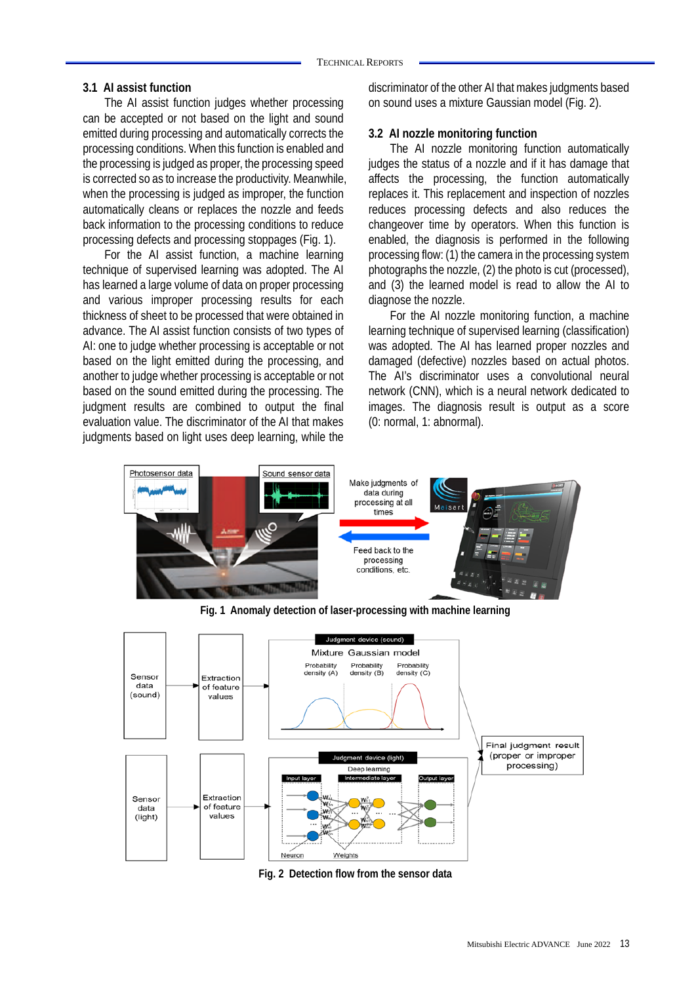#### **3.1 AI assist function**

The AI assist function judges whether processing can be accepted or not based on the light and sound emitted during processing and automatically corrects the processing conditions. When this function is enabled and the processing is judged as proper, the processing speed is corrected so as to increase the productivity. Meanwhile, when the processing is judged as improper, the function automatically cleans or replaces the nozzle and feeds back information to the processing conditions to reduce processing defects and processing stoppages (Fig. 1).

For the AI assist function, a machine learning technique of supervised learning was adopted. The AI has learned a large volume of data on proper processing and various improper processing results for each thickness of sheet to be processed that were obtained in advance. The AI assist function consists of two types of AI: one to judge whether processing is acceptable or not based on the light emitted during the processing, and another to judge whether processing is acceptable or not based on the sound emitted during the processing. The judgment results are combined to output the final evaluation value. The discriminator of the AI that makes judgments based on light uses deep learning, while the

discriminator of the other AI that makes judgments based on sound uses a mixture Gaussian model (Fig. 2).

## **3.2 AI nozzle monitoring function**

The AI nozzle monitoring function automatically judges the status of a nozzle and if it has damage that affects the processing, the function automatically replaces it. This replacement and inspection of nozzles reduces processing defects and also reduces the changeover time by operators. When this function is enabled, the diagnosis is performed in the following processing flow: (1) the camera in the processing system photographs the nozzle, (2) the photo is cut (processed), and (3) the learned model is read to allow the AI to diagnose the nozzle.

For the AI nozzle monitoring function, a machine learning technique of supervised learning (classification) was adopted. The AI has learned proper nozzles and damaged (defective) nozzles based on actual photos. The AI's discriminator uses a convolutional neural network (CNN), which is a neural network dedicated to images. The diagnosis result is output as a score (0: normal, 1: abnormal).





**Fig. 2 Detection flow from the sensor data**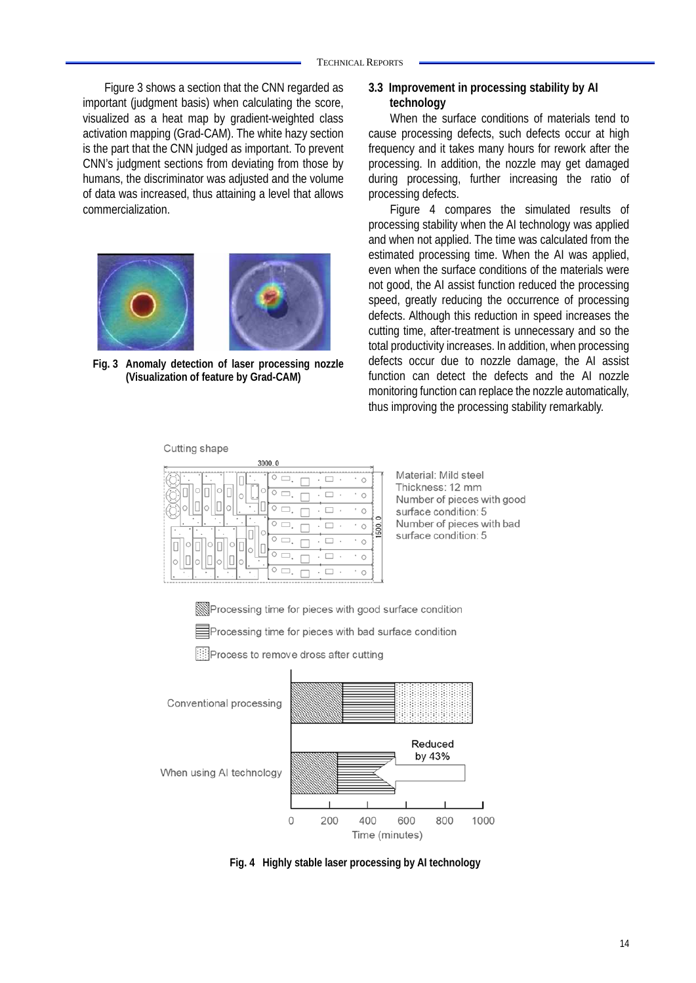Figure 3 shows a section that the CNN regarded as important (judgment basis) when calculating the score, visualized as a heat map by gradient-weighted class activation mapping (Grad-CAM). The white hazy section is the part that the CNN judged as important. To prevent CNN's judgment sections from deviating from those by humans, the discriminator was adjusted and the volume of data was increased, thus attaining a level that allows commercialization.



**Fig. 3 Anomaly detection of laser processing nozzle (Visualization of feature by Grad-CAM)** 

#### Cutting shape

| 3000.0              |  |  |  |  |
|---------------------|--|--|--|--|
| Λ                   |  |  |  |  |
|                     |  |  |  |  |
|                     |  |  |  |  |
| ¢<br>í.             |  |  |  |  |
|                     |  |  |  |  |
|                     |  |  |  |  |
|                     |  |  |  |  |
| ٠<br>$\blacksquare$ |  |  |  |  |

**3.3 Improvement in processing stability by AI technology** 

When the surface conditions of materials tend to cause processing defects, such defects occur at high frequency and it takes many hours for rework after the processing. In addition, the nozzle may get damaged during processing, further increasing the ratio of processing defects.

Figure 4 compares the simulated results of processing stability when the AI technology was applied and when not applied. The time was calculated from the estimated processing time. When the AI was applied, even when the surface conditions of the materials were not good, the AI assist function reduced the processing speed, greatly reducing the occurrence of processing defects. Although this reduction in speed increases the cutting time, after-treatment is unnecessary and so the total productivity increases. In addition, when processing defects occur due to nozzle damage, the AI assist function can detect the defects and the AI nozzle monitoring function can replace the nozzle automatically, thus improving the processing stability remarkably.

Material: Mild steel Thickness: 12 mm Number of pieces with good surface condition: 5 Number of pieces with bad surface condition: 5

Processing time for pieces with good surface condition

**Exercessing time for pieces with bad surface condition** 

Process to remove dross after cutting



When using AI technology



**Fig. 4 Highly stable laser processing by AI technology**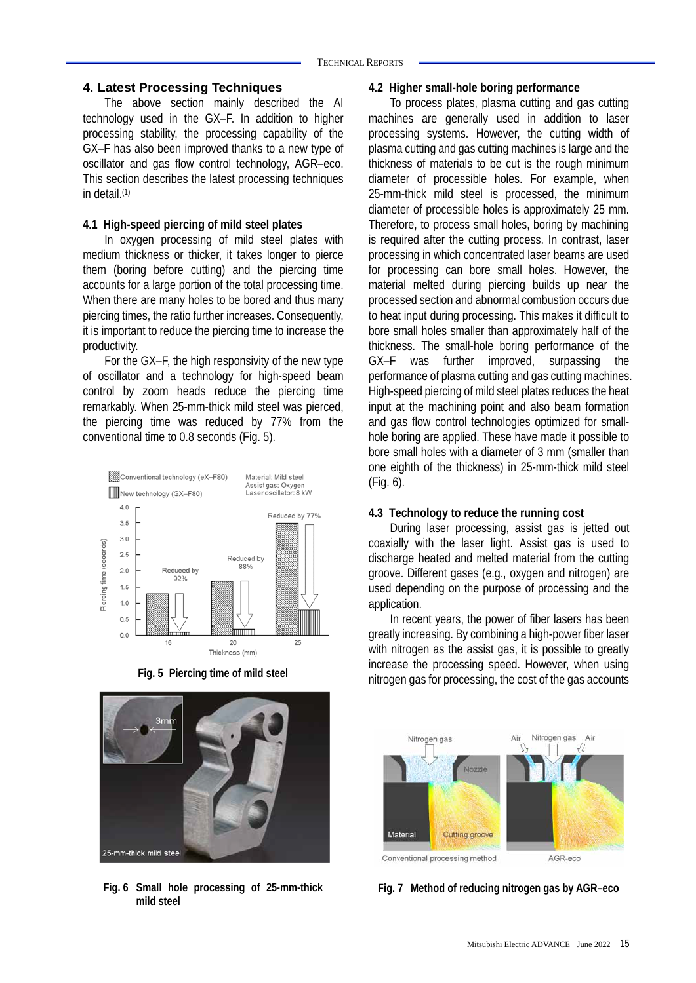## **4. Latest Processing Techniques**

The above section mainly described the AI technology used in the GX–F. In addition to higher processing stability, the processing capability of the GX–F has also been improved thanks to a new type of oscillator and gas flow control technology, AGR–eco. This section describes the latest processing techniques in detail.(1)

## **4.1 High-speed piercing of mild steel plates**

In oxygen processing of mild steel plates with medium thickness or thicker, it takes longer to pierce them (boring before cutting) and the piercing time accounts for a large portion of the total processing time. When there are many holes to be bored and thus many piercing times, the ratio further increases. Consequently, it is important to reduce the piercing time to increase the productivity.

For the GX–F, the high responsivity of the new type of oscillator and a technology for high-speed beam control by zoom heads reduce the piercing time remarkably. When 25-mm-thick mild steel was pierced, the piercing time was reduced by 77% from the conventional time to 0.8 seconds (Fig. 5).





**Fig. 6 Small hole processing of 25-mm-thick mild steel** 

#### **4.2 Higher small-hole boring performance**

To process plates, plasma cutting and gas cutting machines are generally used in addition to laser processing systems. However, the cutting width of plasma cutting and gas cutting machines is large and the thickness of materials to be cut is the rough minimum diameter of processible holes. For example, when 25-mm-thick mild steel is processed, the minimum diameter of processible holes is approximately 25 mm. Therefore, to process small holes, boring by machining is required after the cutting process. In contrast, laser processing in which concentrated laser beams are used for processing can bore small holes. However, the material melted during piercing builds up near the processed section and abnormal combustion occurs due to heat input during processing. This makes it difficult to bore small holes smaller than approximately half of the thickness. The small-hole boring performance of the GX–F was further improved, surpassing the performance of plasma cutting and gas cutting machines. High-speed piercing of mild steel plates reduces the heat input at the machining point and also beam formation and gas flow control technologies optimized for smallhole boring are applied. These have made it possible to bore small holes with a diameter of 3 mm (smaller than one eighth of the thickness) in 25-mm-thick mild steel (Fig. 6).

#### **4.3 Technology to reduce the running cost**

During laser processing, assist gas is jetted out coaxially with the laser light. Assist gas is used to discharge heated and melted material from the cutting groove. Different gases (e.g., oxygen and nitrogen) are used depending on the purpose of processing and the application.

In recent years, the power of fiber lasers has been greatly increasing. By combining a high-power fiber laser with nitrogen as the assist gas, it is possible to greatly increase the processing speed. However, when using Fig. 5 Piercing time of mild steel militrogen gas for processing, the cost of the gas accounts